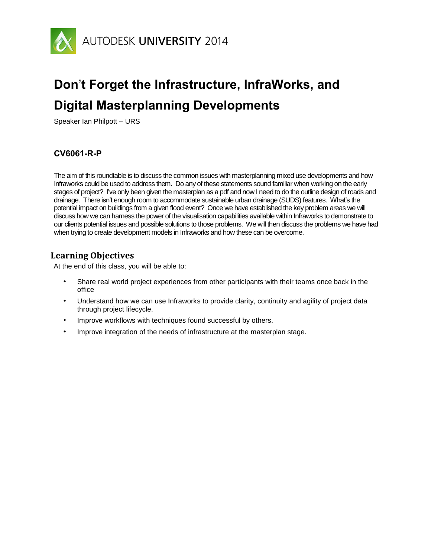

# **Don**'**t Forget the Infrastructure, InfraWorks, and Digital Masterplanning Developments**

Speaker Ian Philpott – URS

#### **CV6061-R-P**

The aim of this roundtable is to discuss the common issues with masterplanning mixed use developments and how Infraworks could be used to address them. Do any of these statements sound familiar when working on the early stages of project? I've only been given the masterplan as a pdf and now I need to do the outline design of roads and drainage. There isn't enough room to accommodate sustainable urban drainage (SUDS) features. What's the potential impact on buildings from a given flood event? Once we have established the key problem areas we will discuss how we can harness the power of the visualisation capabilities available within Infraworks to demonstrate to our clients potential issues and possible solutions to those problems. We will then discuss the problems we have had when trying to create development models in Infraworks and how these can be overcome.

#### **Learning Objectives**

At the end of this class, you will be able to:

- Share real world project experiences from other participants with their teams once back in the office
- Understand how we can use Infraworks to provide clarity, continuity and agility of project data through project lifecycle.
- Improve workflows with techniques found successful by others.
- Improve integration of the needs of infrastructure at the masterplan stage.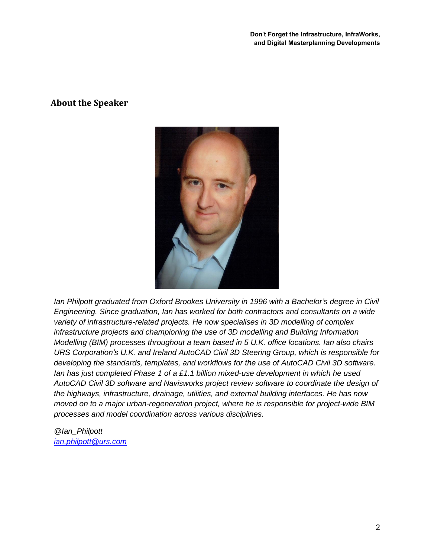**Don**'**t Forget the Infrastructure, InfraWorks, and Digital Masterplanning Developments**

#### **About the Speaker**



*Ian Philpott graduated from Oxford Brookes University in 1996 with a Bachelor's degree in Civil Engineering. Since graduation, Ian has worked for both contractors and consultants on a wide variety of infrastructure-related projects. He now specialises in 3D modelling of complex infrastructure projects and championing the use of 3D modelling and Building Information Modelling (BIM) processes throughout a team based in 5 U.K. office locations. Ian also chairs URS Corporation's U.K. and Ireland AutoCAD Civil 3D Steering Group, which is responsible for developing the standards, templates, and workflows for the use of AutoCAD Civil 3D software. Ian has just completed Phase 1 of a £1.1 billion mixed-use development in which he used AutoCAD Civil 3D software and Navisworks project review software to coordinate the design of the highways, infrastructure, drainage, utilities, and external building interfaces. He has now moved on to a major urban-regeneration project, where he is responsible for project-wide BIM processes and model coordination across various disciplines.*

*@Ian\_Philpott [ian.philpott@urs.com](mailto:ian.philpott@urs.com)*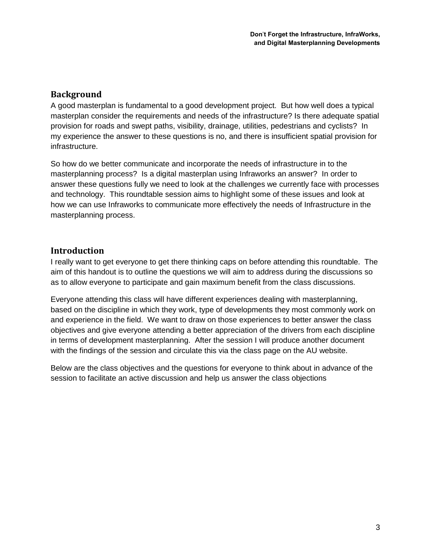## **Background**

A good masterplan is fundamental to a good development project. But how well does a typical masterplan consider the requirements and needs of the infrastructure? Is there adequate spatial provision for roads and swept paths, visibility, drainage, utilities, pedestrians and cyclists? In my experience the answer to these questions is no, and there is insufficient spatial provision for infrastructure.

So how do we better communicate and incorporate the needs of infrastructure in to the masterplanning process? Is a digital masterplan using Infraworks an answer? In order to answer these questions fully we need to look at the challenges we currently face with processes and technology. This roundtable session aims to highlight some of these issues and look at how we can use Infraworks to communicate more effectively the needs of Infrastructure in the masterplanning process.

## **Introduction**

I really want to get everyone to get there thinking caps on before attending this roundtable. The aim of this handout is to outline the questions we will aim to address during the discussions so as to allow everyone to participate and gain maximum benefit from the class discussions.

Everyone attending this class will have different experiences dealing with masterplanning, based on the discipline in which they work, type of developments they most commonly work on and experience in the field. We want to draw on those experiences to better answer the class objectives and give everyone attending a better appreciation of the drivers from each discipline in terms of development masterplanning. After the session I will produce another document with the findings of the session and circulate this via the class page on the AU website.

Below are the class objectives and the questions for everyone to think about in advance of the session to facilitate an active discussion and help us answer the class objections